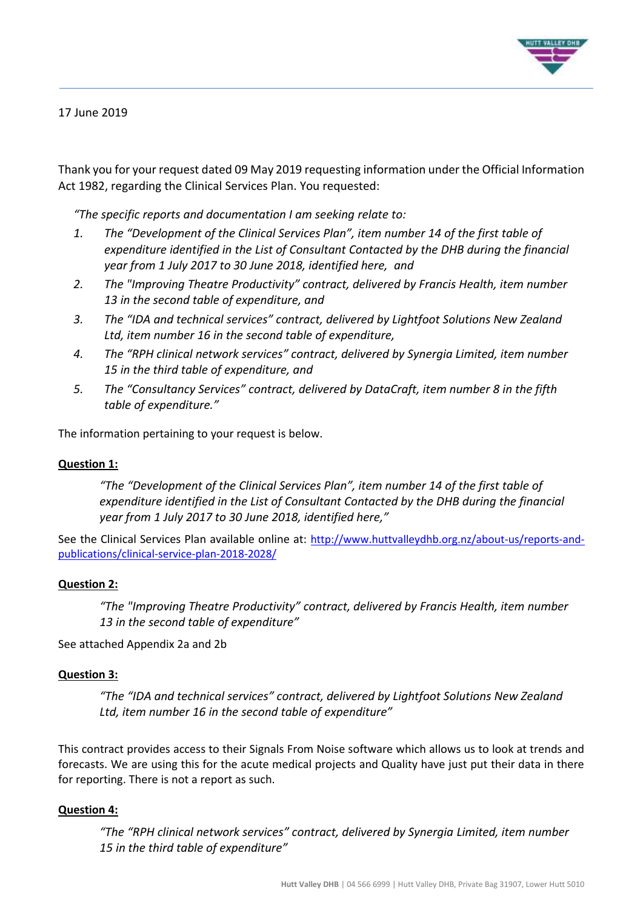

## 17 June 2019

Thank you for your request dated 09 May 2019 requesting information under the Official Information Act 1982, regarding the Clinical Services Plan. You requested:

*"The specific reports and documentation I am seeking relate to:*

- *1. The "Development of the Clinical Services Plan", item number 14 of the first table of expenditure identified in the List of Consultant Contacted by the DHB during the financial year from 1 July 2017 to 30 June 2018, identified here, and*
- *2. The "Improving Theatre Productivity" contract, delivered by Francis Health, item number 13 in the second table of expenditure, and*
- *3. The "IDA and technical services" contract, delivered by Lightfoot Solutions New Zealand Ltd, item number 16 in the second table of expenditure,*
- *4. The "RPH clinical network services" contract, delivered by Synergia Limited, item number 15 in the third table of expenditure, and*
- *5. The "Consultancy Services" contract, delivered by DataCraft, item number 8 in the fifth table of expenditure."*

The information pertaining to your request is below.

## **Question 1:**

*"The "Development of the Clinical Services Plan", item number 14 of the first table of expenditure identified in the List of Consultant Contacted by the DHB during the financial year from 1 July 2017 to 30 June 2018, identified here,"*

See the Clinical Services Plan available online at: [http://www.huttvalleydhb.org.nz/about-us/reports-and](http://www.huttvalleydhb.org.nz/about-us/reports-and-publications/clinical-service-plan-2018-2028/)[publications/clinical-service-plan-2018-2028/](http://www.huttvalleydhb.org.nz/about-us/reports-and-publications/clinical-service-plan-2018-2028/)

#### **Question 2:**

*"The "Improving Theatre Productivity" contract, delivered by Francis Health, item number 13 in the second table of expenditure"*

See attached Appendix 2a and 2b

## **Question 3:**

*"The "IDA and technical services" contract, delivered by Lightfoot Solutions New Zealand Ltd, item number 16 in the second table of expenditure"*

This contract provides access to their Signals From Noise software which allows us to look at trends and forecasts. We are using this for the acute medical projects and Quality have just put their data in there for reporting. There is not a report as such.

#### **Question 4:**

*"The "RPH clinical network services" contract, delivered by Synergia Limited, item number 15 in the third table of expenditure"*